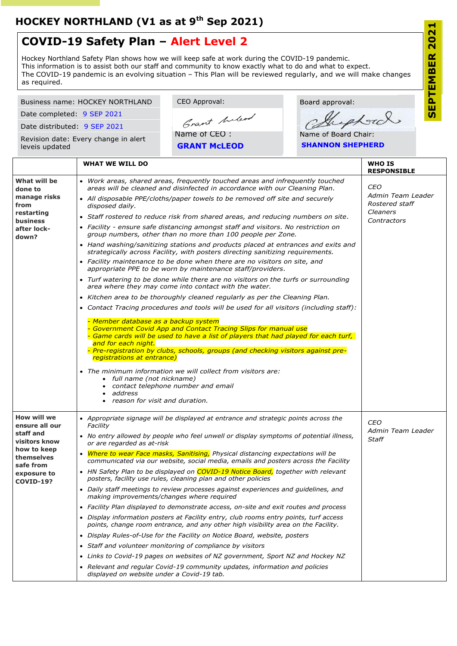CEO Approval: Board approval: Business name: HOCKEY NORTHLAND export Date completed: 9 SEP 2021  $\overline{u}$ Grant Anderd Date distributed: 9 SEP 2021 Name of CEO : Name of Board Chair: Revision date: Every change in alert **GRANT McLEOD SHANNON SHEPHERD** leveis updated **WHAT WE WILL DO WHO IS RESPONSIBLE What will be**  *Work areas, shared areas, frequently touched areas and infrequently touched CEO areas will be cleaned and disinfected in accordance with our Cleaning Plan.* **done to**  *Admin Team Leader* **manage risks**  *All disposable PPE/cloths/paper towels to be removed off site and securely Rostered staff* **from**  *disposed daily. Cleaners* **restarting**  *Staff rostered to reduce risk from shared areas, and reducing numbers on site. Contractors* **business** *Facility - ensure safe distancing amongst staff and visitors. No restriction on*  **after lock***group numbers, other than no more than 100 people per Zone.* **down?** *Hand washing/sanitizing stations and products placed at entrances and exits and strategically across Facility, with posters directing sanitizing requirements. Facility maintenance to be done when there are no visitors on site, and appropriate PPE to be worn by maintenance staff/providers. Turf watering to be done while there are no visitors on the turfs or surrounding area where they may come into contact with the water. Kitchen area to be thoroughly cleaned regularly as per the Cleaning Plan.*

**COVID-19?**

 *Contact Tracing procedures and tools will be used for all visitors (including staff):* - *Member database as a backup system* - *Government Covid App and Contact Tracing Slips for manual use* - *Game cards will be used to have a list of players that had played for each turf, and for each night.* - *Pre-registration by clubs, schools, groups (and checking visitors against preregistrations at entrance) The minimum information we will collect from visitors are: full name (not nickname) contact telephone number and email address reason for visit and duration.* **How will we ensure all our staff and visitors know how to keep themselves safe from exposure to**  *Appropriate signage will be displayed at entrance and strategic points across the Facility No entry allowed by people who feel unwell or display symptoms of potential illness, or are regarded as at-risk Where to wear Face masks, Sanitising, Physical distancing expectations will be communicated via our website, social media, emails and posters across the Facility HN Safety Plan to be displayed on COVID-19 Notice Board, together with relevant CEO Admin Team Leader Staff*

*posters, facility use rules, cleaning plan and other policies*

- *Daily staff meetings to review processes against experiences and guidelines, and making improvements/changes where required*
- *Facility Plan displayed to demonstrate access, on-site and exit routes and process*
- *Display information posters at Facility entry, club rooms entry points, turf access points, change room entrance, and any other high visibility area on the Facility.*
- *Display Rules-of-Use for the Facility on Notice Board, website, posters*
- *Staff and volunteer monitoring of compliance by visitors*

- *Links to Covid-19 pages on websites of NZ government, Sport NZ and Hockey NZ*
- *Relevant and regular Covid-19 community updates, information and policies displayed on website under a Covid-19 tab.*

## **COVID-19 Safety Plan – Alert Level 2**

Hockey Northland Safety Plan shows how we will keep safe at work during the COVID-19 pandemic. This information is to assist both our staff and community to know exactly what to do and what to expect. The COVID-19 pandemic is an evolving situation – This Plan will be reviewed regularly, and we will make changes as required.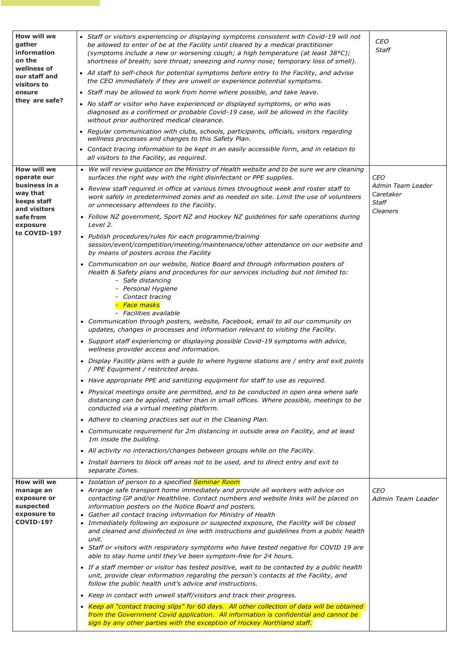| <b>How will we</b><br>gather<br>information<br>on the<br>wellness of<br>our staff and<br>visitors to<br>ensure<br>they are safe?       | • Staff or visitors experiencing or displaying symptoms consistent with Covid-19 will not<br>be allowed to enter of be at the Facility until cleared by a medical practitioner<br>(symptoms include a new or worsening cough; a high temperature (at least 38°C);<br>shortness of breath; sore throat; sneezing and runny nose; temporary loss of smell).<br>• All staff to self-check for potential symptoms before entry to the Facility, and advise<br>the CEO immediately if they are unwell or experience potential symptoms.<br>• Staff may be allowed to work from home where possible, and take leave.<br>• No staff or visitor who have experienced or displayed symptoms, or who was<br>diagnosed as a confirmed or probable Covid-19 case, will be allowed in the Facility<br>without prior authorized medical clearance.<br>• Regular communication with clubs, schools, participants, officials, visitors regarding<br>wellness processes and changes to this Safety Plan.<br>• Contact tracing information to be kept in an easily accessible form, and in relation to<br>all visitors to the Facility, as required.                                                                                                                                                                                                                                                                                                                                                                                                                                                                                                                                                                                                                                                                                                                                                                                                                                                                                                                                                                                                     | <b>CEO</b><br><b>Staff</b>                                               |
|----------------------------------------------------------------------------------------------------------------------------------------|----------------------------------------------------------------------------------------------------------------------------------------------------------------------------------------------------------------------------------------------------------------------------------------------------------------------------------------------------------------------------------------------------------------------------------------------------------------------------------------------------------------------------------------------------------------------------------------------------------------------------------------------------------------------------------------------------------------------------------------------------------------------------------------------------------------------------------------------------------------------------------------------------------------------------------------------------------------------------------------------------------------------------------------------------------------------------------------------------------------------------------------------------------------------------------------------------------------------------------------------------------------------------------------------------------------------------------------------------------------------------------------------------------------------------------------------------------------------------------------------------------------------------------------------------------------------------------------------------------------------------------------------------------------------------------------------------------------------------------------------------------------------------------------------------------------------------------------------------------------------------------------------------------------------------------------------------------------------------------------------------------------------------------------------------------------------------------------------------------------------------------------|--------------------------------------------------------------------------|
| <b>How will we</b><br>operate our<br>business in a<br>way that<br>keeps staff<br>and visitors<br>safe from<br>exposure<br>to COVID-19? | • We will review guidance on the Ministry of Health website and to be sure we are cleaning<br>surfaces the right way with the right disinfectant or PPE supplies.<br>• Review staff required in office at various times throughout week and roster staff to<br>work safely in predetermined zones and as needed on site. Limit the use of volunteers<br>or unnecessary attendees to the Facility.<br>• Follow NZ government, Sport NZ and Hockey NZ guidelines for safe operations during<br>Level 2.<br>• Publish procedures/rules for each programme/training<br>session/event/competition/meeting/maintenance/other attendance on our website and<br>by means of posters across the Facility<br>• Communication on our website, Notice Board and through information posters of<br>Health & Safety plans and procedures for our services including but not limited to:<br>- Safe distancing<br>- Personal Hygiene<br>- Contact tracing<br>- Face masks<br>- Facilities available<br>• Communication through posters, website, Facebook, email to all our community on<br>updates, changes in processes and information relevant to visiting the Facility.<br>• Support staff experiencing or displaying possible Covid-19 symptoms with advice,<br>wellness provider access and information.<br>• Display Facility plans with a guide to where hygiene stations are / entry and exit points<br>/ PPE Equipment / restricted areas.<br>• Have appropriate PPE and sanitizing equipment for staff to use as required.<br>• Physical meetings onsite are permitted, and to be conducted in open area where safe<br>distancing can be applied, rather than in small offices. Where possible, meetings to be<br>conducted via a virtual meeting platform.<br>• Adhere to cleaning practices set out in the Cleaning Plan.<br>• Communicate requirement for 2m distancing in outside area on Facility, and at least<br>1m inside the building.<br>• All activity no interaction/changes between groups while on the Facility.<br>• Install barriers to block off areas not to be used, and to direct entry and exit to<br>separate Zones. | <b>CEO</b><br>Admin Team Leader<br>Caretaker<br><b>Staff</b><br>Cleaners |
| <b>How will we</b>                                                                                                                     | • Isolation of person to a specified Seminar Room                                                                                                                                                                                                                                                                                                                                                                                                                                                                                                                                                                                                                                                                                                                                                                                                                                                                                                                                                                                                                                                                                                                                                                                                                                                                                                                                                                                                                                                                                                                                                                                                                                                                                                                                                                                                                                                                                                                                                                                                                                                                                      |                                                                          |

**manage an exposure or suspected exposure to COVID-19?**

- *Arrange safe transport home immediately and provide all workers with advice on contacting GP and/or Healthline. Contact numbers and website links will be placed on information posters on the Notice Board and posters.*
- *Gather all contact tracing information for Ministry of Health*
- *Immediately following an exposure or suspected exposure, the Facility will be closed and cleaned and disinfected in line with instructions and guidelines from a public health unit.*
- *Staff or visitors with respiratory symptoms who have tested negative for COVID 19 are able to stay home until they've been symptom-free for 24 hours.*
- *If a staff member or visitor has tested positive, wait to be contacted by a public health unit, provide clear information regarding the person's contacts at the Facility, and follow the public health unit's advice and instructions.*
- *Keep in contact with unwell staff/visitors and track their progress.*
- *Keep all "contact tracing slips" for 60 days. All other collection of data will be obtained from the Government Covid application. All information is confidential and cannot be sign by any other parties with the exception of Hockey Northland staff.*

*CEO*

*Admin Team Leader*